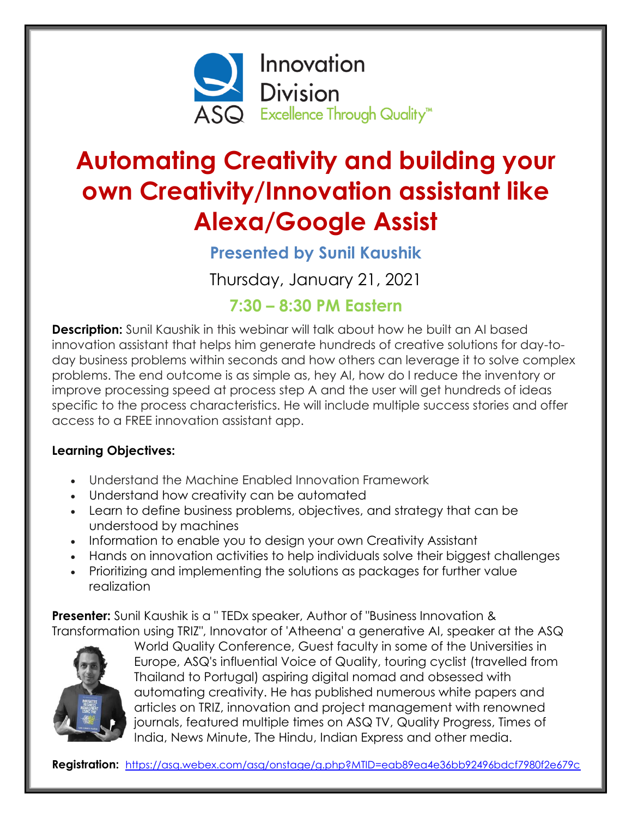

# **Automating Creativity and building your own Creativity/Innovation assistant like Alexa/Google Assist**

# **Presented by Sunil Kaushik**

Thursday, January 21, 2021

## **7:30 – 8:30 PM Eastern**

**Description:** Sunil Kaushik in this webinar will talk about how he built an AI based innovation assistant that helps him generate hundreds of creative solutions for day-today business problems within seconds and how others can leverage it to solve complex problems. The end outcome is as simple as, hey AI, how do I reduce the inventory or improve processing speed at process step A and the user will get hundreds of ideas specific to the process characteristics. He will include multiple success stories and offer access to a FREE innovation assistant app.

#### **Learning Objectives:**

- Understand the Machine Enabled Innovation Framework
- Understand how creativity can be automated
- Learn to define business problems, objectives, and strategy that can be understood by machines
- Information to enable you to design your own Creativity Assistant
- Hands on innovation activities to help individuals solve their biggest challenges
- Prioritizing and implementing the solutions as packages for further value realization

**Presenter:** Sunil Kaushik is a " TEDx speaker, Author of "Business Innovation & Transformation using TRIZ", Innovator of 'Atheena' a generative AI, speaker at the ASQ



World Quality Conference, Guest faculty in some of the Universities in Europe, ASQ's influential Voice of Quality, touring cyclist (travelled from Thailand to Portugal) aspiring digital nomad and obsessed with automating creativity. He has published numerous white papers and articles on TRIZ, innovation and project management with renowned journals, featured multiple times on ASQ TV, Quality Progress, Times of India, News Minute, The Hindu, Indian Express and other media.

**Registration:** <https://asq.webex.com/asq/onstage/g.php?MTID=eab89ea4e36bb92496bdcf7980f2e679c>